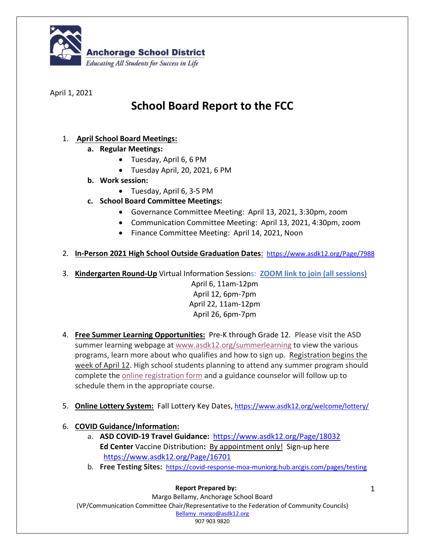

April 1, 2021

# **School Board Report to the FCC**

# 1. **April School Board Meetings:**

- **a. Regular Meetings:**
	- Tuesday, April 6, 6 PM
	- Tuesday April, 20, 2021, 6 PM
- **b. Work session:**
	- Tuesday, April 6, 3-5 PM
- **c. School Board Committee Meetings:**
	- Governance Committee Meeting: April 13, 2021, 3:30pm, zoom
	- Communication Committee Meeting: April 13, 2021, 4:30pm, zoom
	- Finance Committee Meeting: April 14, 2021, Noon
- 2. **In-Person 2021 High School Outside Graduation Dates**: https://www.asdk12.org/Page/7988
- 3. **Kindergarten Round-Up** Virtual Information Sessions: **ZOOM link to join (all sessions)**

April 6, 11am-12pm April 12, 6pm-7pm April 22, 11am-12pm April 26, 6pm-7pm

- 4. **Free Summer Learning Opportunities:** Pre-K through Grade 12.Please visit the ASD summer learning webpage at www.asdk12.org/summerlearning to view the various programs, learn more about who qualifies and how to sign up. Registration begins the week of April 12. High school students planning to attend any summer program should complete the online registration form and a guidance counselor will follow up to schedule them in the appropriate course.
- 5. **Online Lottery System:** Fall Lottery Key Dates, https://www.asdk12.org/welcome/lottery/

# 6. **COVID Guidance/Information:**

- a. **ASD COVID-19 Travel Guidance:** https://www.asdk12.org/Page/18032 **Ed Center** Vaccine Distribution**:** By appointment only!Sign-up here https://www.asdk12.org/Page/16701
- b. **Free Testing Sites:** https://covid-response-moa-muniorg.hub.arcgis.com/pages/testing

#### **Report Prepared by:**

Margo Bellamy, Anchorage School Board (VP/Communication Committee Chair/Representative to the Federation of Community Councils) Bellamy\_margo@asdk12.org 907 903 9820

1